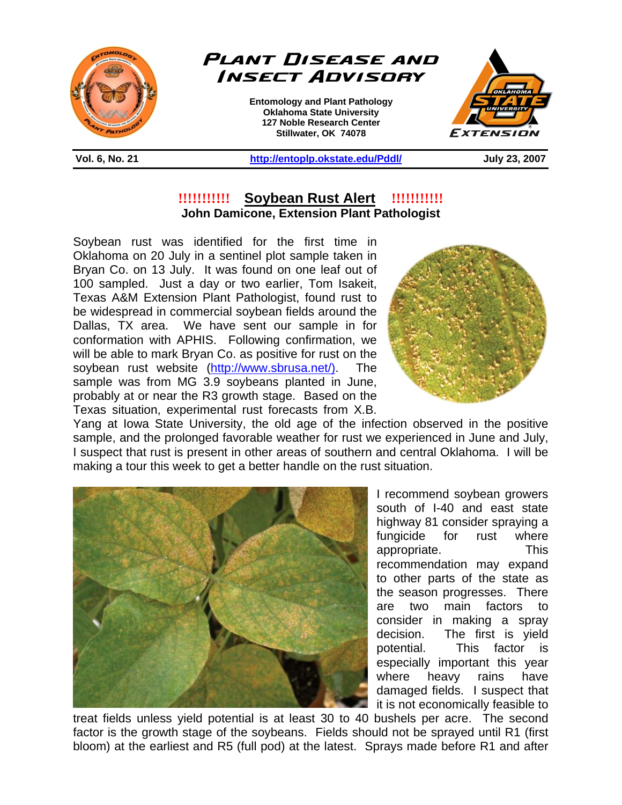



**Entomology and Plant Pathology Oklahoma State University 127 Noble Research Center Stillwater, OK 74078** 



**Vol. 6, No. 21 http://entoplp.okstate.edu/Pddl/ July 23, 2007** 

## **!!!!!!!!!!! Soybean Rust Alert !!!!!!!!!!! John Damicone, Extension Plant Pathologist**

֦

Soybean rust was identified for the first time in Oklahoma on 20 July in a sentinel plot sample taken in Bryan Co. on 13 July. It was found on one leaf out of 100 sampled. Just a day or two earlier, Tom Isakeit, Texas A&M Extension Plant Pathologist, found rust to be widespread in commercial soybean fields around the Dallas, TX area. We have sent our sample in for conformation with APHIS. Following confirmation, we will be able to mark Bryan Co. as positive for rust on the soybean rust website (http://www.sbrusa.net/). The sample was from MG 3.9 soybeans planted in June, probably at or near the R3 growth stage. Based on the Texas situation, experimental rust forecasts from X.B.



Yang at Iowa State University, the old age of the infection observed in the positive sample, and the prolonged favorable weather for rust we experienced in June and July, I suspect that rust is present in other areas of southern and central Oklahoma. I will be making a tour this week to get a better handle on the rust situation.



I recommend soybean growers south of I-40 and east state highway 81 consider spraying a fungicide for rust where appropriate. This recommendation may expand to other parts of the state as the season progresses. There are two main factors to consider in making a spray decision. The first is yield potential. This factor is especially important this year where heavy rains have damaged fields. I suspect that it is not economically feasible to

treat fields unless yield potential is at least 30 to 40 bushels per acre. The second factor is the growth stage of the soybeans. Fields should not be sprayed until R1 (first bloom) at the earliest and R5 (full pod) at the latest. Sprays made before R1 and after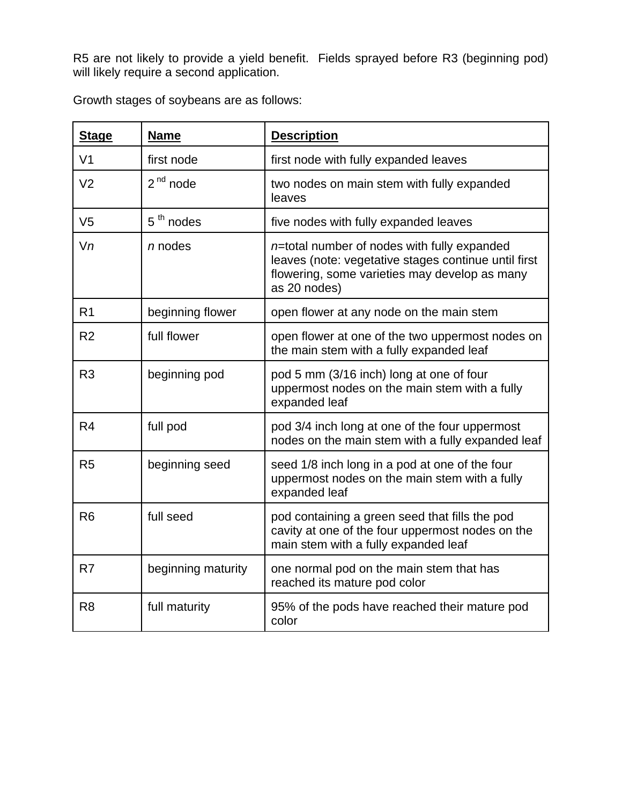R5 are not likely to provide a yield benefit. Fields sprayed before R3 (beginning pod) will likely require a second application.

Growth stages of soybeans are as follows:

| <b>Stage</b>   | <b>Name</b>        | <b>Description</b>                                                                                                                                                      |
|----------------|--------------------|-------------------------------------------------------------------------------------------------------------------------------------------------------------------------|
| V <sub>1</sub> | first node         | first node with fully expanded leaves                                                                                                                                   |
| V <sub>2</sub> | $2nd$ node         | two nodes on main stem with fully expanded<br>leaves                                                                                                                    |
| V <sub>5</sub> | $5th$ nodes        | five nodes with fully expanded leaves                                                                                                                                   |
| Vn             | $n$ nodes          | $n=$ total number of nodes with fully expanded<br>leaves (note: vegetative stages continue until first<br>flowering, some varieties may develop as many<br>as 20 nodes) |
| R <sub>1</sub> | beginning flower   | open flower at any node on the main stem                                                                                                                                |
| R <sub>2</sub> | full flower        | open flower at one of the two uppermost nodes on<br>the main stem with a fully expanded leaf                                                                            |
| R <sub>3</sub> | beginning pod      | pod 5 mm (3/16 inch) long at one of four<br>uppermost nodes on the main stem with a fully<br>expanded leaf                                                              |
| R4             | full pod           | pod 3/4 inch long at one of the four uppermost<br>nodes on the main stem with a fully expanded leaf                                                                     |
| R <sub>5</sub> | beginning seed     | seed 1/8 inch long in a pod at one of the four<br>uppermost nodes on the main stem with a fully<br>expanded leaf                                                        |
| R <sub>6</sub> | full seed          | pod containing a green seed that fills the pod<br>cavity at one of the four uppermost nodes on the<br>main stem with a fully expanded leaf                              |
| R <sub>7</sub> | beginning maturity | one normal pod on the main stem that has<br>reached its mature pod color                                                                                                |
| R <sub>8</sub> | full maturity      | 95% of the pods have reached their mature pod<br>color                                                                                                                  |